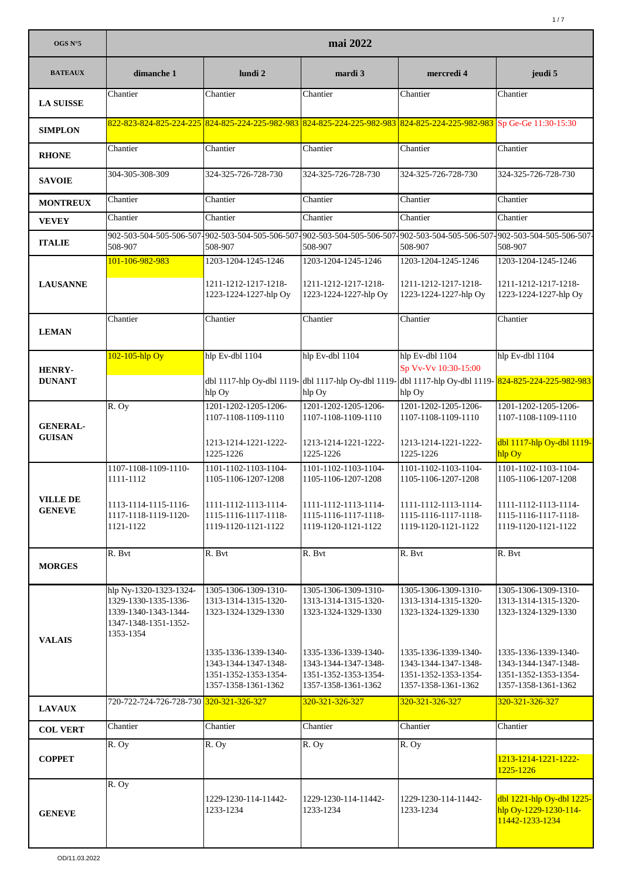| OGS N°5                        | mai 2022                                     |                                                               |                                                                                                                                     |                                                                                     |                                                                       |  |
|--------------------------------|----------------------------------------------|---------------------------------------------------------------|-------------------------------------------------------------------------------------------------------------------------------------|-------------------------------------------------------------------------------------|-----------------------------------------------------------------------|--|
| <b>BATEAUX</b>                 | dimanche 1                                   | lundi 2                                                       | mardi 3                                                                                                                             | mercredi 4                                                                          | jeudi 5                                                               |  |
| <b>LA SUISSE</b>               | Chantier                                     | Chantier                                                      | Chantier                                                                                                                            | Chantier                                                                            | Chantier                                                              |  |
| <b>SIMPLON</b>                 |                                              |                                                               | 822-823-824-825-224-225 824-825-224-225-982-983 824-825-224-225-982-983 824-825-224-225-982-983 Sp Ge-Ge 11:30-15:30                |                                                                                     |                                                                       |  |
| <b>RHONE</b>                   | Chantier                                     | Chantier                                                      | Chantier                                                                                                                            | Chantier                                                                            | Chantier                                                              |  |
| <b>SAVOIE</b>                  | 304-305-308-309                              | 324-325-726-728-730                                           | 324-325-726-728-730                                                                                                                 | 324-325-726-728-730                                                                 | 324-325-726-728-730                                                   |  |
| <b>MONTREUX</b>                | Chantier                                     | Chantier                                                      | Chantier                                                                                                                            | Chantier                                                                            | Chantier                                                              |  |
| <b>VEVEY</b>                   | Chantier                                     | Chantier                                                      | Chantier                                                                                                                            | Chantier                                                                            | Chantier                                                              |  |
| <b>ITALIE</b>                  | 508-907                                      | 508-907                                                       | 902-503-504-505-506-507-902-503-504-505-506-507-902-503-504-505-506-507-902-503-504-505-506-507-902-503-504-505-506-507-<br>508-907 | 508-907                                                                             | 508-907                                                               |  |
|                                | 101-106-982-983                              | 1203-1204-1245-1246                                           | 1203-1204-1245-1246                                                                                                                 | 1203-1204-1245-1246                                                                 | 1203-1204-1245-1246                                                   |  |
| <b>LAUSANNE</b>                |                                              | 1211-1212-1217-1218-<br>1223-1224-1227-hlp Oy                 | 1211-1212-1217-1218-<br>1223-1224-1227-hlp Oy                                                                                       | 1211-1212-1217-1218-<br>1223-1224-1227-hlp Oy                                       | 1211-1212-1217-1218-<br>1223-1224-1227-hlp Oy                         |  |
| <b>LEMAN</b>                   | Chantier                                     | Chantier                                                      | Chantier                                                                                                                            | Chantier                                                                            | Chantier                                                              |  |
|                                | 102-105-hlp Oy                               | hlp Ev-dbl 1104                                               | hlp Ev-dbl 1104                                                                                                                     | hlp Ev-dbl 1104                                                                     | hlp Ev-dbl 1104                                                       |  |
| <b>HENRY-</b><br><b>DUNANT</b> |                                              | dbl 1117-hlp Oy-dbl 1119- dbl 1117-hlp Oy-dbl 1119-<br>hlp Oy | hlp Oy                                                                                                                              | Sp Vv-Vv 10:30-15:00<br>dbl 1117-hlp Oy-dbl 1119- 824-825-224-225-982-983<br>hlp Oy |                                                                       |  |
|                                | R. Oy                                        | 1201-1202-1205-1206-                                          | 1201-1202-1205-1206-                                                                                                                | 1201-1202-1205-1206-                                                                | 1201-1202-1205-1206-                                                  |  |
| <b>GENERAL-</b>                |                                              | 1107-1108-1109-1110                                           | 1107-1108-1109-1110                                                                                                                 | 1107-1108-1109-1110                                                                 | 1107-1108-1109-1110                                                   |  |
| <b>GUISAN</b>                  |                                              | 1213-1214-1221-1222-<br>1225-1226                             | 1213-1214-1221-1222-<br>1225-1226                                                                                                   | 1213-1214-1221-1222-<br>1225-1226                                                   | dbl 1117-hlp Oy-dbl 1119-<br>hlp Oy                                   |  |
|                                | 1107-1108-1109-1110-                         | 1101-1102-1103-1104-                                          | 1101-1102-1103-1104-                                                                                                                | 1101-1102-1103-1104-                                                                | 1101-1102-1103-1104-                                                  |  |
|                                | 1111-1112                                    | 1105-1106-1207-1208                                           | 1105-1106-1207-1208                                                                                                                 | 1105-1106-1207-1208                                                                 | 1105-1106-1207-1208                                                   |  |
| VILLE DE<br><b>GENEVE</b>      | 1113-1114-1115-1116-                         | 1111-1112-1113-1114-<br>1115-1116-1117-1118-                  | 1111-1112-1113-1114-                                                                                                                | 1111-1112-1113-1114-                                                                | 1111-1112-1113-1114-<br>1115-1116-1117-1118-                          |  |
|                                | 1117-1118-1119-1120-<br>1121-1122            | 1119-1120-1121-1122                                           | 1115-1116-1117-1118-<br>1119-1120-1121-1122                                                                                         | 1115-1116-1117-1118-<br>1119-1120-1121-1122                                         | 1119-1120-1121-1122                                                   |  |
|                                | R. Bvt                                       | R. Bvt                                                        | R. Bvt                                                                                                                              | R. Bvt                                                                              | R. Bvt                                                                |  |
| <b>MORGES</b>                  |                                              |                                                               |                                                                                                                                     |                                                                                     |                                                                       |  |
|                                | hlp Ny-1320-1323-1324-                       | 1305-1306-1309-1310-                                          | 1305-1306-1309-1310-                                                                                                                | 1305-1306-1309-1310-                                                                | 1305-1306-1309-1310-                                                  |  |
|                                | 1329-1330-1335-1336-<br>1339-1340-1343-1344- | 1313-1314-1315-1320-<br>1323-1324-1329-1330                   | 1313-1314-1315-1320-<br>1323-1324-1329-1330                                                                                         | 1313-1314-1315-1320-<br>1323-1324-1329-1330                                         | 1313-1314-1315-1320-<br>1323-1324-1329-1330                           |  |
|                                | 1347-1348-1351-1352-<br>1353-1354            |                                                               |                                                                                                                                     |                                                                                     |                                                                       |  |
| <b>VALAIS</b>                  |                                              |                                                               |                                                                                                                                     | 1335-1336-1339-1340-                                                                |                                                                       |  |
|                                |                                              | 1335-1336-1339-1340-<br>1343-1344-1347-1348-                  | 1335-1336-1339-1340-<br>1343-1344-1347-1348-                                                                                        | 1343-1344-1347-1348-                                                                | 1335-1336-1339-1340-<br>1343-1344-1347-1348-                          |  |
|                                |                                              | 1351-1352-1353-1354-<br>1357-1358-1361-1362                   | 1351-1352-1353-1354-<br>1357-1358-1361-1362                                                                                         | 1351-1352-1353-1354-<br>1357-1358-1361-1362                                         | 1351-1352-1353-1354-<br>1357-1358-1361-1362                           |  |
| <b>LAVAUX</b>                  | 720-722-724-726-728-730 320-321-326-327      |                                                               | 320-321-326-327                                                                                                                     | 320-321-326-327                                                                     | 320-321-326-327                                                       |  |
| <b>COL VERT</b>                | Chantier                                     | Chantier                                                      | Chantier                                                                                                                            | Chantier                                                                            | Chantier                                                              |  |
|                                | R. Oy                                        | R. Oy                                                         | R. Oy                                                                                                                               | R. Oy                                                                               |                                                                       |  |
| <b>COPPET</b>                  |                                              |                                                               |                                                                                                                                     |                                                                                     | 1213-1214-1221-1222-<br>1225-1226                                     |  |
|                                | R. Oy                                        |                                                               |                                                                                                                                     |                                                                                     |                                                                       |  |
| <b>GENEVE</b>                  |                                              | 1229-1230-114-11442-<br>1233-1234                             | 1229-1230-114-11442-<br>1233-1234                                                                                                   | 1229-1230-114-11442-<br>1233-1234                                                   | dbl 1221-hlp Oy-dbl 1225-<br>hlp Oy-1229-1230-114-<br>11442-1233-1234 |  |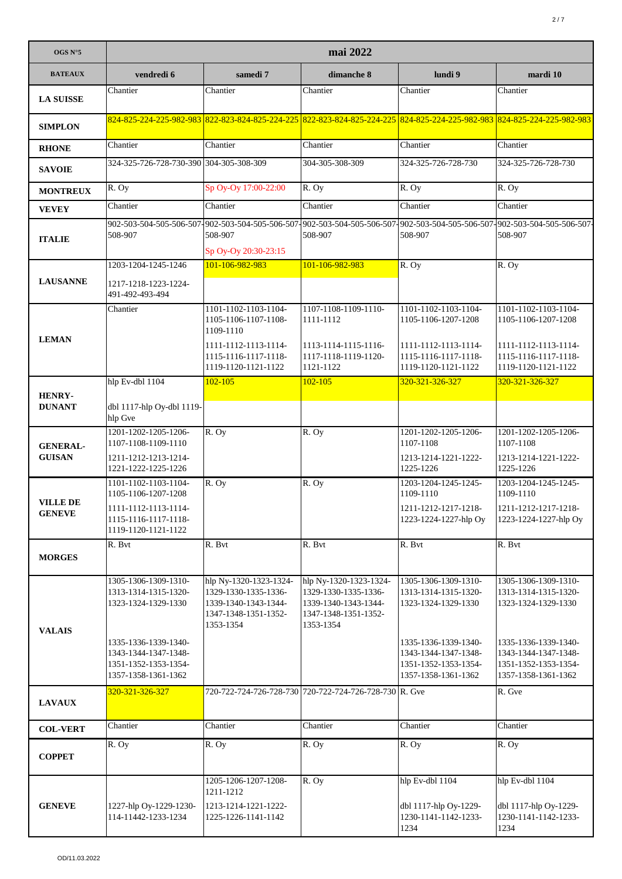| OGS $N^{\circ}5$               | mai 2022                                                                                    |                                                                                                             |                                                                                                                         |                                                                                             |                                                                                             |  |
|--------------------------------|---------------------------------------------------------------------------------------------|-------------------------------------------------------------------------------------------------------------|-------------------------------------------------------------------------------------------------------------------------|---------------------------------------------------------------------------------------------|---------------------------------------------------------------------------------------------|--|
| <b>BATEAUX</b>                 | vendredi 6                                                                                  | samedi 7                                                                                                    | dimanche 8                                                                                                              | lundi 9                                                                                     | mardi 10                                                                                    |  |
| <b>LA SUISSE</b>               | Chantier                                                                                    | Chantier                                                                                                    | Chantier                                                                                                                | Chantier                                                                                    | Chantier                                                                                    |  |
| <b>SIMPLON</b>                 |                                                                                             |                                                                                                             | 824-825-224-225-982-983 822-823-824-825-224-225 822-823-824-825-224-225 824-825-224-225-982-983 824-825-224-225-982-983 |                                                                                             |                                                                                             |  |
| <b>RHONE</b>                   | Chantier                                                                                    | Chantier                                                                                                    | Chantier                                                                                                                | Chantier                                                                                    | Chantier                                                                                    |  |
| <b>SAVOIE</b>                  | 324-325-726-728-730-390 304-305-308-309                                                     |                                                                                                             | 304-305-308-309                                                                                                         | 324-325-726-728-730                                                                         | 324-325-726-728-730                                                                         |  |
| <b>MONTREUX</b>                | R. Oy                                                                                       | Sp Oy-Oy 17:00-22:00                                                                                        | R. Oy                                                                                                                   | R. Oy                                                                                       | R. Oy                                                                                       |  |
| <b>VEVEY</b>                   | Chantier                                                                                    | Chantier                                                                                                    | Chantier                                                                                                                | Chantier                                                                                    | Chantier                                                                                    |  |
| <b>ITALIE</b>                  | 902-503-504-505-506-507-902-503-504-505-506-507<br>508-907                                  | 508-907                                                                                                     | -902-503-504-505-506-507-902-503-504-505-506-507-902-503-504-505-506-507-<br>508-907                                    | 508-907                                                                                     | 508-907                                                                                     |  |
|                                | 1203-1204-1245-1246                                                                         | Sp Oy-Oy 20:30-23:15<br>101-106-982-983                                                                     | 101-106-982-983                                                                                                         | $\overline{R}$ . Oy                                                                         | R. Oy                                                                                       |  |
| <b>LAUSANNE</b>                | 1217-1218-1223-1224-<br>491-492-493-494                                                     |                                                                                                             |                                                                                                                         |                                                                                             |                                                                                             |  |
|                                | Chantier                                                                                    | 1101-1102-1103-1104-<br>1105-1106-1107-1108-<br>1109-1110                                                   | 1107-1108-1109-1110-<br>1111-1112                                                                                       | 1101-1102-1103-1104-<br>1105-1106-1207-1208                                                 | 1101-1102-1103-1104-<br>1105-1106-1207-1208                                                 |  |
| <b>LEMAN</b>                   |                                                                                             | 1111-1112-1113-1114-<br>1115-1116-1117-1118-<br>1119-1120-1121-1122                                         | 1113-1114-1115-1116-<br>1117-1118-1119-1120-<br>1121-1122                                                               | 1111-1112-1113-1114-<br>1115-1116-1117-1118-<br>1119-1120-1121-1122                         | 1111-1112-1113-1114-<br>1115-1116-1117-1118-<br>1119-1120-1121-1122                         |  |
|                                | hlp Ev-dbl 1104                                                                             | $102 - 105$                                                                                                 | $102 - 105$                                                                                                             | 320-321-326-327                                                                             | 320-321-326-327                                                                             |  |
| <b>HENRY-</b><br><b>DUNANT</b> | dbl 1117-hlp Oy-dbl 1119-<br>hlp Gve                                                        |                                                                                                             |                                                                                                                         |                                                                                             |                                                                                             |  |
| <b>GENERAL-</b>                | 1201-1202-1205-1206-<br>1107-1108-1109-1110                                                 | R. Oy                                                                                                       | R. Oy                                                                                                                   | 1201-1202-1205-1206-<br>1107-1108                                                           | 1201-1202-1205-1206-<br>1107-1108                                                           |  |
| <b>GUISAN</b>                  | 1211-1212-1213-1214-<br>1221-1222-1225-1226                                                 |                                                                                                             |                                                                                                                         | 1213-1214-1221-1222-<br>1225-1226                                                           | 1213-1214-1221-1222-<br>1225-1226                                                           |  |
| <b>VILLE DE</b>                | 1101-1102-1103-1104-<br>1105-1106-1207-1208                                                 | R. Oy                                                                                                       | R. Oy                                                                                                                   | 1203-1204-1245-1245-<br>1109-1110                                                           | 1203-1204-1245-1245-<br>1109-1110                                                           |  |
| <b>GENEVE</b>                  | 1111-1112-1113-1114-<br>1115-1116-1117-1118-<br>1119-1120-1121-1122                         |                                                                                                             |                                                                                                                         | 1211-1212-1217-1218-<br>1223-1224-1227-hlp Oy                                               | 1211-1212-1217-1218-<br>1223-1224-1227-hlp Oy                                               |  |
| <b>MORGES</b>                  | R. Bvt                                                                                      | R. Bvt                                                                                                      | R. Bvt                                                                                                                  | R. Bvt                                                                                      | R. Bvt                                                                                      |  |
| <b>VALAIS</b>                  | 1305-1306-1309-1310-<br>1313-1314-1315-1320-<br>1323-1324-1329-1330                         | hlp Ny-1320-1323-1324-<br>1329-1330-1335-1336-<br>1339-1340-1343-1344-<br>1347-1348-1351-1352-<br>1353-1354 | hlp Ny-1320-1323-1324-<br>1329-1330-1335-1336-<br>1339-1340-1343-1344-<br>1347-1348-1351-1352-<br>1353-1354             | 1305-1306-1309-1310-<br>1313-1314-1315-1320-<br>1323-1324-1329-1330                         | 1305-1306-1309-1310-<br>1313-1314-1315-1320-<br>1323-1324-1329-1330                         |  |
|                                | 1335-1336-1339-1340-<br>1343-1344-1347-1348-<br>1351-1352-1353-1354-<br>1357-1358-1361-1362 |                                                                                                             |                                                                                                                         | 1335-1336-1339-1340-<br>1343-1344-1347-1348-<br>1351-1352-1353-1354-<br>1357-1358-1361-1362 | 1335-1336-1339-1340-<br>1343-1344-1347-1348-<br>1351-1352-1353-1354-<br>1357-1358-1361-1362 |  |
| <b>LAVAUX</b>                  | 320-321-326-327                                                                             |                                                                                                             | 720-722-724-726-728-730 720-722-724-726-728-730 R. Gve                                                                  |                                                                                             | R. Gve                                                                                      |  |
| <b>COL-VERT</b>                | Chantier                                                                                    | Chantier                                                                                                    | Chantier                                                                                                                | Chantier                                                                                    | Chantier                                                                                    |  |
| <b>COPPET</b>                  | R. Oy                                                                                       | R. Oy                                                                                                       | R. Oy                                                                                                                   | R. Oy                                                                                       | R. Oy                                                                                       |  |
| <b>GENEVE</b>                  | 1227-hlp Oy-1229-1230-<br>114-11442-1233-1234                                               | 1205-1206-1207-1208-<br>1211-1212<br>1213-1214-1221-1222-<br>1225-1226-1141-1142                            | R. Oy                                                                                                                   | hlp Ev-dbl 1104<br>dbl 1117-hlp Oy-1229-<br>1230-1141-1142-1233-<br>1234                    | hlp Ev-dbl 1104<br>dbl 1117-hlp Oy-1229-<br>1230-1141-1142-1233-<br>1234                    |  |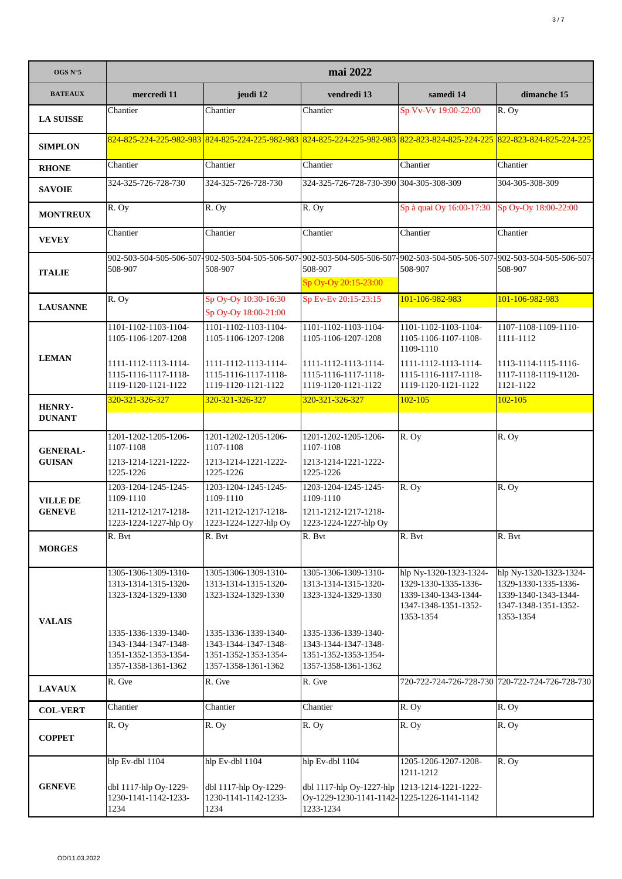| OGS N°5                          | mai 2022                                                                                    |                                                                                             |                                                                                                                                                             |                                                                                                             |                                                                                                             |  |
|----------------------------------|---------------------------------------------------------------------------------------------|---------------------------------------------------------------------------------------------|-------------------------------------------------------------------------------------------------------------------------------------------------------------|-------------------------------------------------------------------------------------------------------------|-------------------------------------------------------------------------------------------------------------|--|
| <b>BATEAUX</b>                   | mercredi 11                                                                                 | jeudi 12                                                                                    | vendredi 13                                                                                                                                                 | samedi 14                                                                                                   | dimanche 15                                                                                                 |  |
| <b>LA SUISSE</b>                 | Chantier                                                                                    | Chantier                                                                                    | Chantier                                                                                                                                                    | Sp Vv-Vv 19:00-22:00                                                                                        | R. Oy                                                                                                       |  |
| <b>SIMPLON</b>                   |                                                                                             |                                                                                             | 824-825-224-225-982-983 824-825-224-225-982-983 824-825-224-225-982-983 822-823-824-825-224-225 822-823-824-825-224-225                                     |                                                                                                             |                                                                                                             |  |
| <b>RHONE</b>                     | Chantier                                                                                    | Chantier                                                                                    | Chantier                                                                                                                                                    | Chantier                                                                                                    | Chantier                                                                                                    |  |
| <b>SAVOIE</b>                    | 324-325-726-728-730                                                                         | 324-325-726-728-730                                                                         | 324-325-726-728-730-390 304-305-308-309                                                                                                                     |                                                                                                             | 304-305-308-309                                                                                             |  |
| <b>MONTREUX</b>                  | R. Oy                                                                                       | R. Oy                                                                                       | R. Oy                                                                                                                                                       | Sp à quai Oy 16:00-17:30                                                                                    | Sp Oy-Oy 18:00-22:00                                                                                        |  |
| <b>VEVEY</b>                     | Chantier                                                                                    | Chantier                                                                                    | Chantier                                                                                                                                                    | Chantier                                                                                                    | Chantier                                                                                                    |  |
| <b>ITALIE</b>                    | 508-907                                                                                     | 508-907                                                                                     | 902-503-504-505-506-507-902-503-504-505-506-507-902-503-504-505-506-507-902-503-504-505-506-507-902-503-504-505-506-507-<br>508-907<br>Sp Oy-Oy 20:15-23:00 | 508-907                                                                                                     | 508-907                                                                                                     |  |
| <b>LAUSANNE</b>                  | R. Oy                                                                                       | Sp Oy-Oy 10:30-16:30                                                                        | Sp Ev-Ev 20:15-23:15                                                                                                                                        | 101-106-982-983                                                                                             | 101-106-982-983                                                                                             |  |
| <b>LEMAN</b>                     | 1101-1102-1103-1104-<br>1105-1106-1207-1208                                                 | Sp Oy-Oy 18:00-21:00<br>1101-1102-1103-1104-<br>1105-1106-1207-1208                         | 1101-1102-1103-1104-<br>1105-1106-1207-1208                                                                                                                 | 1101-1102-1103-1104-<br>1105-1106-1107-1108-<br>1109-1110                                                   | 1107-1108-1109-1110-<br>1111-1112                                                                           |  |
|                                  | 1111-1112-1113-1114-<br>1115-1116-1117-1118-<br>1119-1120-1121-1122                         | 1111-1112-1113-1114-<br>1115-1116-1117-1118-<br>1119-1120-1121-1122                         | 1111-1112-1113-1114-<br>1115-1116-1117-1118-<br>1119-1120-1121-1122                                                                                         | 1111-1112-1113-1114-<br>1115-1116-1117-1118-<br>1119-1120-1121-1122                                         | 1113-1114-1115-1116-<br>1117-1118-1119-1120-<br>1121-1122                                                   |  |
| <b>HENRY-</b>                    | 320-321-326-327                                                                             | 320-321-326-327                                                                             | 320-321-326-327                                                                                                                                             | $102 - 105$                                                                                                 | $102 - 105$                                                                                                 |  |
| <b>DUNANT</b>                    |                                                                                             |                                                                                             |                                                                                                                                                             |                                                                                                             |                                                                                                             |  |
| <b>GENERAL-</b><br><b>GUISAN</b> | 1201-1202-1205-1206-<br>1107-1108<br>1213-1214-1221-1222-<br>1225-1226                      | 1201-1202-1205-1206-<br>1107-1108<br>1213-1214-1221-1222-<br>1225-1226                      | 1201-1202-1205-1206-<br>1107-1108<br>1213-1214-1221-1222-<br>1225-1226                                                                                      | R. Oy                                                                                                       | R. Oy                                                                                                       |  |
| <b>VILLE DE</b><br><b>GENEVE</b> | 1203-1204-1245-1245-<br>1109-1110<br>1211-1212-1217-1218-<br>1223-1224-1227-hlp Oy          | 1203-1204-1245-1245-<br>1109-1110<br>1211-1212-1217-1218-<br>1223-1224-1227-hlp Oy          | 1203-1204-1245-1245-<br>1109-1110<br>1211-1212-1217-1218-<br>1223-1224-1227-hlp Ov                                                                          | R. Oy                                                                                                       | R. Oy                                                                                                       |  |
| <b>MORGES</b>                    | R. Bvt                                                                                      | R. Bvt                                                                                      | R. Bvt                                                                                                                                                      | R. Bvt                                                                                                      | R. Bvt                                                                                                      |  |
| <b>VALAIS</b>                    | 1305-1306-1309-1310-<br>1313-1314-1315-1320-<br>1323-1324-1329-1330                         | 1305-1306-1309-1310-<br>1313-1314-1315-1320-<br>1323-1324-1329-1330                         | 1305-1306-1309-1310-<br>1313-1314-1315-1320-<br>1323-1324-1329-1330                                                                                         | hlp Ny-1320-1323-1324-<br>1329-1330-1335-1336-<br>1339-1340-1343-1344-<br>1347-1348-1351-1352-<br>1353-1354 | hlp Ny-1320-1323-1324-<br>1329-1330-1335-1336-<br>1339-1340-1343-1344-<br>1347-1348-1351-1352-<br>1353-1354 |  |
|                                  | 1335-1336-1339-1340-<br>1343-1344-1347-1348-<br>1351-1352-1353-1354-<br>1357-1358-1361-1362 | 1335-1336-1339-1340-<br>1343-1344-1347-1348-<br>1351-1352-1353-1354-<br>1357-1358-1361-1362 | 1335-1336-1339-1340-<br>1343-1344-1347-1348-<br>1351-1352-1353-1354-<br>1357-1358-1361-1362                                                                 |                                                                                                             |                                                                                                             |  |
| <b>LAVAUX</b>                    | R. Gve                                                                                      | R. Gve                                                                                      | R. Gve                                                                                                                                                      |                                                                                                             | 720-722-724-726-728-730 720-722-724-726-728-730                                                             |  |
| <b>COL-VERT</b>                  | Chantier                                                                                    | Chantier                                                                                    | Chantier                                                                                                                                                    | R. Oy                                                                                                       | R. Oy                                                                                                       |  |
| <b>COPPET</b>                    | R. Oy                                                                                       | R. Oy                                                                                       | R. Oy                                                                                                                                                       | R. Oy                                                                                                       | R. Oy                                                                                                       |  |
| <b>GENEVE</b>                    | hlp Ev-dbl 1104<br>dbl 1117-hlp Oy-1229-<br>1230-1141-1142-1233-<br>1234                    | hlp Ev-dbl 1104<br>dbl 1117-hlp Oy-1229-<br>1230-1141-1142-1233-<br>1234                    | hlp Ev-dbl 1104<br>dbl 1117-hlp Oy-1227-hlp   1213-1214-1221-1222-<br>Oy-1229-1230-1141-1142-1225-1226-1141-1142<br>1233-1234                               | 1205-1206-1207-1208-<br>1211-1212                                                                           | R. Oy                                                                                                       |  |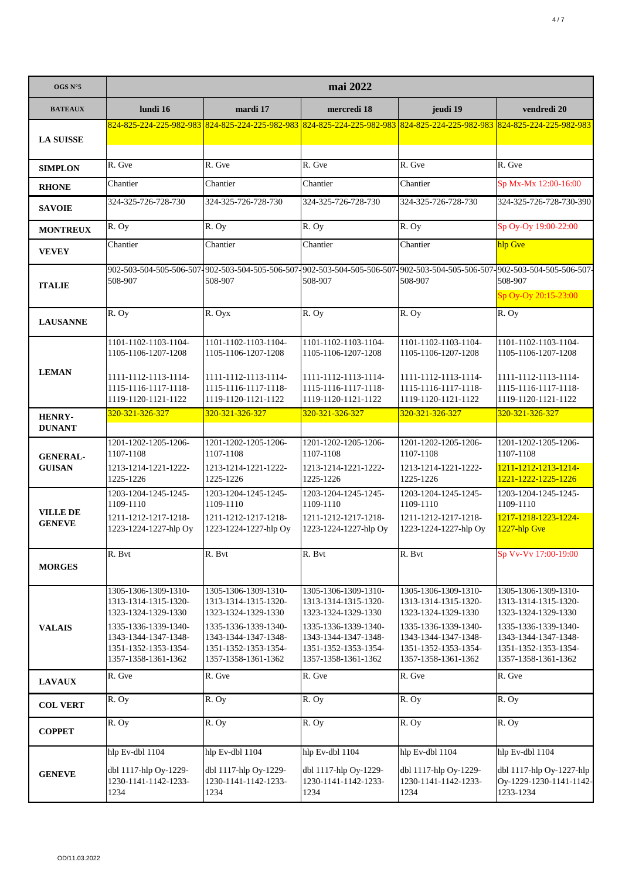| OGS N°5                          | mai 2022                                                                                    |                                                                                             |                                                                                             |                                                                                                                         |                                                                                             |  |
|----------------------------------|---------------------------------------------------------------------------------------------|---------------------------------------------------------------------------------------------|---------------------------------------------------------------------------------------------|-------------------------------------------------------------------------------------------------------------------------|---------------------------------------------------------------------------------------------|--|
| <b>BATEAUX</b>                   | lundi 16                                                                                    | mardi 17                                                                                    | mercredi 18                                                                                 | jeudi 19                                                                                                                | vendredi 20                                                                                 |  |
|                                  |                                                                                             |                                                                                             |                                                                                             | 824-825-224-225-982-983 824-825-224-225-982-983 824-825-224-225-982-983 824-825-224-225-982-983 824-825-224-225-982-983 |                                                                                             |  |
| <b>LA SUISSE</b>                 |                                                                                             |                                                                                             |                                                                                             |                                                                                                                         |                                                                                             |  |
| <b>SIMPLON</b>                   | R. Gve                                                                                      | R. Gve                                                                                      | R. Gve                                                                                      | R. Gve                                                                                                                  | R. Gve                                                                                      |  |
| <b>RHONE</b>                     | Chantier                                                                                    | Chantier                                                                                    | Chantier                                                                                    | Chantier                                                                                                                | Sp Mx-Mx 12:00-16:00                                                                        |  |
| <b>SAVOIE</b>                    | 324-325-726-728-730                                                                         | 324-325-726-728-730                                                                         | 324-325-726-728-730                                                                         | 324-325-726-728-730                                                                                                     | 324-325-726-728-730-390                                                                     |  |
| <b>MONTREUX</b>                  | R. Oy                                                                                       | R. Oy                                                                                       | R. Oy                                                                                       | R. Oy                                                                                                                   | Sp Oy-Oy 19:00-22:00                                                                        |  |
| <b>VEVEY</b>                     | Chantier                                                                                    | Chantier                                                                                    | Chantier                                                                                    | Chantier                                                                                                                | hlp Gve                                                                                     |  |
| <b>ITALIE</b>                    | 508-907                                                                                     | 902-503-504-505-506-507-902-503-504-505-506-507-<br>508-907                                 | 508-907                                                                                     | 902-503-504-505-506-507-902-503-504-505-506-507-902-503-504-505-506-507-<br>508-907                                     | 508-907<br>Sp Oy-Oy 20:15-23:00                                                             |  |
|                                  | R. Oy                                                                                       | R. Oyx                                                                                      | R. Oy                                                                                       | R. Oy                                                                                                                   | R. Oy                                                                                       |  |
| <b>LAUSANNE</b>                  |                                                                                             |                                                                                             |                                                                                             |                                                                                                                         |                                                                                             |  |
|                                  | 1101-1102-1103-1104-<br>1105-1106-1207-1208                                                 | 1101-1102-1103-1104-<br>1105-1106-1207-1208                                                 | 1101-1102-1103-1104-<br>1105-1106-1207-1208                                                 | 1101-1102-1103-1104-<br>1105-1106-1207-1208                                                                             | 1101-1102-1103-1104-<br>1105-1106-1207-1208                                                 |  |
| <b>LEMAN</b>                     | 1111-1112-1113-1114-<br>1115-1116-1117-1118-<br>1119-1120-1121-1122                         | 1111-1112-1113-1114-<br>1115-1116-1117-1118-<br>1119-1120-1121-1122                         | 1111-1112-1113-1114-<br>1115-1116-1117-1118-<br>1119-1120-1121-1122                         | 1111-1112-1113-1114-<br>1115-1116-1117-1118-<br>1119-1120-1121-1122                                                     | 1111-1112-1113-1114-<br>1115-1116-1117-1118-<br>1119-1120-1121-1122                         |  |
| <b>HENRY-</b><br><b>DUNANT</b>   | 320-321-326-327                                                                             | 320-321-326-327                                                                             | 320-321-326-327                                                                             | 320-321-326-327                                                                                                         | 320-321-326-327                                                                             |  |
| <b>GENERAL-</b>                  | 1201-1202-1205-1206-<br>1107-1108                                                           | 1201-1202-1205-1206-<br>1107-1108                                                           | 1201-1202-1205-1206-<br>1107-1108                                                           | 1201-1202-1205-1206-<br>1107-1108                                                                                       | 1201-1202-1205-1206-<br>1107-1108                                                           |  |
| <b>GUISAN</b>                    | 1213-1214-1221-1222-<br>1225-1226                                                           | 1213-1214-1221-1222-<br>1225-1226                                                           | 1213-1214-1221-1222-<br>1225-1226                                                           | 1213-1214-1221-1222-<br>1225-1226                                                                                       | 1211-1212-1213-1214-<br>1221-1222-1225-1226                                                 |  |
|                                  | 1203-1204-1245-1245-<br>1109-1110                                                           | 1203-1204-1245-1245-<br>1109-1110                                                           | 1203-1204-1245-1245-<br>1109-1110                                                           | 1203-1204-1245-1245-<br>1109-1110                                                                                       | 1203-1204-1245-1245-<br>1109-1110                                                           |  |
| <b>VILLE DE</b><br><b>GENEVE</b> | 1211-1212-1217-1218-<br>1223-1224-1227-hlp Oy                                               | 1211-1212-1217-1218-<br>1223-1224-1227-hlp Oy                                               | 1211-1212-1217-1218-<br>1223-1224-1227-hlp Oy                                               | 1211-1212-1217-1218-<br>1223-1224-1227-hlp Oy                                                                           | 1217-1218-1223-1224-<br>$1227$ -hlp Gve                                                     |  |
|                                  | R. Bvt                                                                                      | R. Bvt                                                                                      | R. Bvt                                                                                      | R. Bvt                                                                                                                  | Sp Vv-Vv 17:00-19:00                                                                        |  |
| <b>MORGES</b>                    |                                                                                             |                                                                                             |                                                                                             |                                                                                                                         |                                                                                             |  |
|                                  | 1305-1306-1309-1310-<br>1313-1314-1315-1320-<br>1323-1324-1329-1330                         | 1305-1306-1309-1310-<br>1313-1314-1315-1320-<br>1323-1324-1329-1330                         | 1305-1306-1309-1310-<br>1313-1314-1315-1320-<br>1323-1324-1329-1330                         | 1305-1306-1309-1310-<br>1313-1314-1315-1320-<br>1323-1324-1329-1330                                                     | 1305-1306-1309-1310-<br>1313-1314-1315-1320-<br>1323-1324-1329-1330                         |  |
| <b>VALAIS</b>                    | 1335-1336-1339-1340-<br>1343-1344-1347-1348-<br>1351-1352-1353-1354-<br>1357-1358-1361-1362 | 1335-1336-1339-1340-<br>1343-1344-1347-1348-<br>1351-1352-1353-1354-<br>1357-1358-1361-1362 | 1335-1336-1339-1340-<br>1343-1344-1347-1348-<br>1351-1352-1353-1354-<br>1357-1358-1361-1362 | 1335-1336-1339-1340-<br>1343-1344-1347-1348-<br>1351-1352-1353-1354-<br>1357-1358-1361-1362                             | 1335-1336-1339-1340-<br>1343-1344-1347-1348-<br>1351-1352-1353-1354-<br>1357-1358-1361-1362 |  |
| <b>LAVAUX</b>                    | R. Gve                                                                                      | R. Gve                                                                                      | R. Gve                                                                                      | R. Gve                                                                                                                  | R. Gve                                                                                      |  |
| <b>COL VERT</b>                  | R. Oy                                                                                       | R. Oy                                                                                       | $\overline{R}$ . Oy                                                                         | R. Oy                                                                                                                   | R. Oy                                                                                       |  |
| <b>COPPET</b>                    | R. Oy                                                                                       | R. Oy                                                                                       | R. Oy                                                                                       | $\overline{R}$ . Oy                                                                                                     | R. Oy                                                                                       |  |
| <b>GENEVE</b>                    | hlp Ev-dbl 1104<br>dbl 1117-hlp Oy-1229-<br>1230-1141-1142-1233-<br>1234                    | hlp Ev-dbl 1104<br>dbl 1117-hlp Oy-1229-<br>1230-1141-1142-1233-<br>1234                    | hlp Ev-dbl 1104<br>dbl 1117-hlp Oy-1229-<br>1230-1141-1142-1233-<br>1234                    | hlp Ev-dbl 1104<br>dbl 1117-hlp Oy-1229-<br>1230-1141-1142-1233-<br>1234                                                | hlp Ev-dbl 1104<br>dbl 1117-hlp Oy-1227-hlp<br>Oy-1229-1230-1141-1142-<br>1233-1234         |  |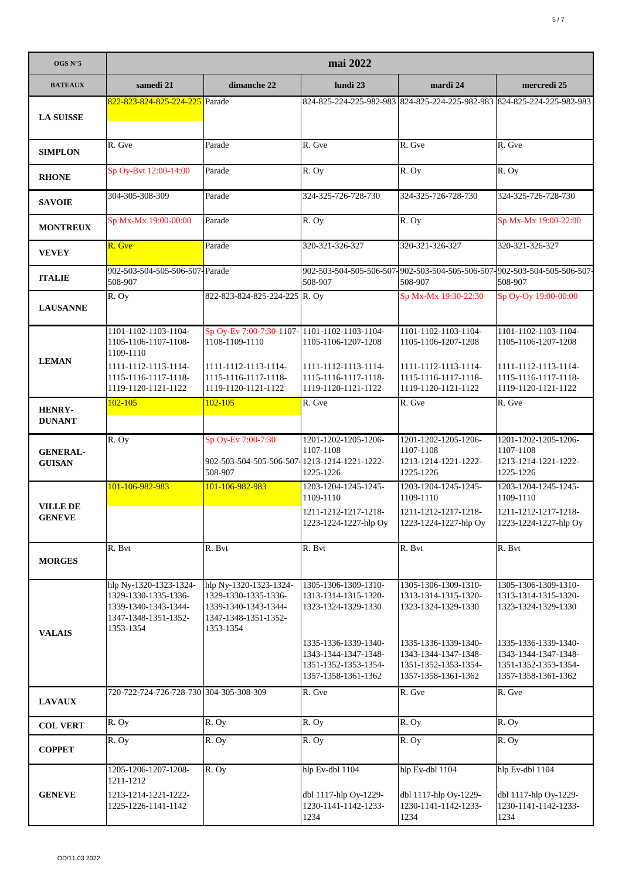| OGS N°5                          | mai 2022                                                                                                    |                                                                                                             |                                                                                             |                                                                                             |                                                                                             |  |
|----------------------------------|-------------------------------------------------------------------------------------------------------------|-------------------------------------------------------------------------------------------------------------|---------------------------------------------------------------------------------------------|---------------------------------------------------------------------------------------------|---------------------------------------------------------------------------------------------|--|
| <b>BATEAUX</b>                   | samedi 21                                                                                                   | dimanche 22                                                                                                 | lundi 23                                                                                    | mardi 24                                                                                    | mercredi 25                                                                                 |  |
| <b>LA SUISSE</b>                 | 822-823-824-825-224-225 Parade                                                                              |                                                                                                             |                                                                                             |                                                                                             | 824-825-224-225-982-983 824-825-224-225-982-983 824-825-224-225-982-983                     |  |
| <b>SIMPLON</b>                   | R. Gve                                                                                                      | Parade                                                                                                      | R. Gve                                                                                      | R. Gve                                                                                      | R. Gve                                                                                      |  |
| <b>RHONE</b>                     | Sp Oy-Bvt 12:00-14:00                                                                                       | Parade                                                                                                      | R. Oy                                                                                       | R. Oy                                                                                       | R. Oy                                                                                       |  |
| <b>SAVOIE</b>                    | 304-305-308-309                                                                                             | Parade                                                                                                      | 324-325-726-728-730                                                                         | 324-325-726-728-730                                                                         | 324-325-726-728-730                                                                         |  |
| <b>MONTREUX</b>                  | Sp Mx-Mx 19:00-00:00                                                                                        | Parade                                                                                                      | R. Oy                                                                                       | $\overline{R}$ . Oy                                                                         | Sp Mx-Mx 19:00-22:00                                                                        |  |
| <b>VEVEY</b>                     | R. Gve                                                                                                      | Parade                                                                                                      | 320-321-326-327                                                                             | 320-321-326-327                                                                             | 320-321-326-327                                                                             |  |
| <b>ITALIE</b>                    | 902-503-504-505-506-507-Parade<br>508-907                                                                   |                                                                                                             | 508-907                                                                                     | 508-907                                                                                     | 902-503-504-505-506-507-902-503-504-505-506-507-902-503-504-505-506-507-<br>508-907         |  |
| <b>LAUSANNE</b>                  | R. Oy                                                                                                       | 822-823-824-825-224-225 R. Oy                                                                               |                                                                                             | Sp Mx-Mx 19:30-22:30                                                                        | Sp Oy-Oy 19:00-00:00                                                                        |  |
| <b>LEMAN</b>                     | 1101-1102-1103-1104-<br>1105-1106-1107-1108-<br>1109-1110<br>1111-1112-1113-1114-                           | Sp Oy-Ev 7:00-7:30-1107-1101-1102-1103-1104-<br>1108-1109-1110<br>1111-1112-1113-1114-                      | 1105-1106-1207-1208<br>1111-1112-1113-1114-                                                 | 1101-1102-1103-1104-<br>1105-1106-1207-1208<br>1111-1112-1113-1114-                         | 1101-1102-1103-1104-<br>1105-1106-1207-1208<br>1111-1112-1113-1114-                         |  |
|                                  | 1115-1116-1117-1118-<br>1119-1120-1121-1122                                                                 | 1115-1116-1117-1118-<br>1119-1120-1121-1122                                                                 | 1115-1116-1117-1118-<br>1119-1120-1121-1122                                                 | 1115-1116-1117-1118-<br>1119-1120-1121-1122                                                 | 1115-1116-1117-1118-<br>1119-1120-1121-1122                                                 |  |
| <b>HENRY-</b><br><b>DUNANT</b>   | $102 - 105$                                                                                                 | $102 - 105$                                                                                                 | R. Gve                                                                                      | R. Gve                                                                                      | R. Gve                                                                                      |  |
| <b>GENERAL-</b><br><b>GUISAN</b> | R. Oy                                                                                                       | Sp Oy-Ev 7:00-7:30<br>902-503-504-505-506-507-1213-1214-1221-1222-<br>508-907                               | 1201-1202-1205-1206-<br>1107-1108<br>1225-1226                                              | 1201-1202-1205-1206-<br>1107-1108<br>1213-1214-1221-1222-<br>1225-1226                      | 1201-1202-1205-1206-<br>1107-1108<br>1213-1214-1221-1222-<br>1225-1226                      |  |
| <b>VILLE DE</b><br><b>GENEVE</b> | 101-106-982-983                                                                                             | 101-106-982-983                                                                                             | 1203-1204-1245-1245-<br>1109-1110<br>1211-1212-1217-1218-<br>1223-1224-1227-hlp Oy          | 1203-1204-1245-1245-<br>1109-1110<br>1211-1212-1217-1218-<br>1223-1224-1227-hlp Oy          | 1203-1204-1245-1245-<br>1109-1110<br>1211-1212-1217-1218-<br>1223-1224-1227-hlp Oy          |  |
| <b>MORGES</b>                    | R. Bvt                                                                                                      | R. Bvt                                                                                                      | R. Bvt                                                                                      | R. Bvt                                                                                      | R. Bvt                                                                                      |  |
| <b>VALAIS</b>                    | hlp Ny-1320-1323-1324-<br>1329-1330-1335-1336-<br>1339-1340-1343-1344-<br>1347-1348-1351-1352-<br>1353-1354 | hlp Ny-1320-1323-1324-<br>1329-1330-1335-1336-<br>1339-1340-1343-1344-<br>1347-1348-1351-1352-<br>1353-1354 | 1305-1306-1309-1310-<br>1313-1314-1315-1320-<br>1323-1324-1329-1330                         | 1305-1306-1309-1310-<br>1313-1314-1315-1320-<br>1323-1324-1329-1330                         | 1305-1306-1309-1310-<br>1313-1314-1315-1320-<br>1323-1324-1329-1330                         |  |
|                                  |                                                                                                             |                                                                                                             | 1335-1336-1339-1340-<br>1343-1344-1347-1348-<br>1351-1352-1353-1354-<br>1357-1358-1361-1362 | 1335-1336-1339-1340-<br>1343-1344-1347-1348-<br>1351-1352-1353-1354-<br>1357-1358-1361-1362 | 1335-1336-1339-1340-<br>1343-1344-1347-1348-<br>1351-1352-1353-1354-<br>1357-1358-1361-1362 |  |
| <b>LAVAUX</b>                    | 720-722-724-726-728-730 304-305-308-309                                                                     |                                                                                                             | R. Gve                                                                                      | R. Gve                                                                                      | R. Gve                                                                                      |  |
| <b>COL VERT</b>                  | R. Oy                                                                                                       | R. Oy                                                                                                       | R. Oy                                                                                       | R. Oy                                                                                       | R. Oy                                                                                       |  |
| <b>COPPET</b>                    | R. Oy                                                                                                       | R. Oy                                                                                                       | R. Oy                                                                                       | R. Oy                                                                                       | R. Oy                                                                                       |  |
| <b>GENEVE</b>                    | 1205-1206-1207-1208-<br>1211-1212<br>1213-1214-1221-1222-<br>1225-1226-1141-1142                            | R. Oy                                                                                                       | hlp Ev-dbl 1104<br>dbl 1117-hlp Oy-1229-<br>1230-1141-1142-1233-<br>1234                    | hlp Ev-dbl 1104<br>dbl 1117-hlp Oy-1229-<br>1230-1141-1142-1233-<br>1234                    | hlp Ev-dbl 1104<br>dbl 1117-hlp Oy-1229-<br>1230-1141-1142-1233-<br>1234                    |  |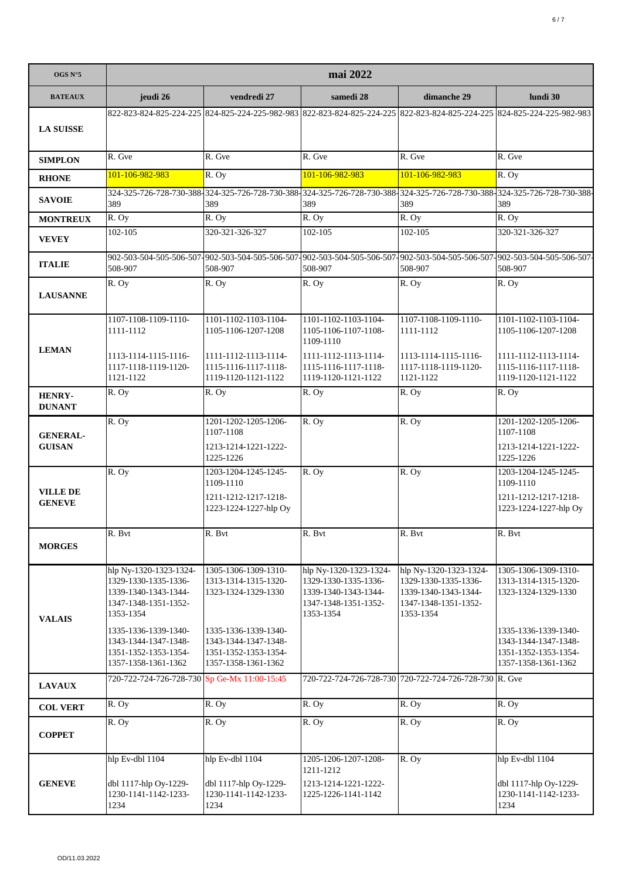| OGS N°5                          | mai 2022                                                                                                    |                                                                                             |                                                                                                                                     |                                                                                                             |                                                                                                                                 |
|----------------------------------|-------------------------------------------------------------------------------------------------------------|---------------------------------------------------------------------------------------------|-------------------------------------------------------------------------------------------------------------------------------------|-------------------------------------------------------------------------------------------------------------|---------------------------------------------------------------------------------------------------------------------------------|
| <b>BATEAUX</b>                   | jeudi 26                                                                                                    | vendredi 27                                                                                 | samedi 28                                                                                                                           | dimanche 29                                                                                                 | lundi 30                                                                                                                        |
| <b>LA SUISSE</b>                 |                                                                                                             |                                                                                             |                                                                                                                                     |                                                                                                             | 822-823-824-825-224-225 824-825-224-225-982-983 822-823-824-825-224-225 822-823-824-825-224-225 824-825-224-225-982-983         |
| <b>SIMPLON</b>                   | R. Gve                                                                                                      | R. Gve                                                                                      | R. Gve                                                                                                                              | R. Gve                                                                                                      | R. Gve                                                                                                                          |
| <b>RHONE</b>                     | 101-106-982-983                                                                                             | R. Oy                                                                                       | 101-106-982-983                                                                                                                     | 101-106-982-983                                                                                             | R. Oy                                                                                                                           |
| <b>SAVOIE</b>                    | 389                                                                                                         | 389                                                                                         | 389                                                                                                                                 | 389                                                                                                         | 324-325-726-728-730-388-324-325-726-728-730-388-324-325-726-728-730-388-324-325-726-728-730-388-324-325-726-728-730-388-<br>389 |
| <b>MONTREUX</b>                  | R. Oy                                                                                                       | R. Oy                                                                                       | R. Oy                                                                                                                               | R. Oy                                                                                                       | R. Oy                                                                                                                           |
| <b>VEVEY</b>                     | 102-105                                                                                                     | 320-321-326-327                                                                             | $102 - 105$                                                                                                                         | $102 - 105$                                                                                                 | 320-321-326-327                                                                                                                 |
| <b>ITALIE</b>                    | 508-907                                                                                                     | 508-907                                                                                     | 902-503-504-505-506-507-902-503-504-505-506-507-902-503-504-505-506-507-902-503-504-505-506-507-902-503-504-505-506-507-<br>508-907 | 508-907                                                                                                     | 508-907                                                                                                                         |
| <b>LAUSANNE</b>                  | R. Oy                                                                                                       | R. Oy                                                                                       | R. Oy                                                                                                                               | R. Oy                                                                                                       | R. Oy                                                                                                                           |
| <b>LEMAN</b>                     | 1107-1108-1109-1110-<br>1111-1112<br>1113-1114-1115-1116-                                                   | 1101-1102-1103-1104-<br>1105-1106-1207-1208<br>1111-1112-1113-1114-                         | 1101-1102-1103-1104-<br>1105-1106-1107-1108-<br>1109-1110<br>1111-1112-1113-1114-                                                   | 1107-1108-1109-1110-<br>1111-1112<br>1113-1114-1115-1116-                                                   | 1101-1102-1103-1104-<br>1105-1106-1207-1208<br>1111-1112-1113-1114-                                                             |
|                                  | 1117-1118-1119-1120-<br>1121-1122                                                                           | 1115-1116-1117-1118-<br>1119-1120-1121-1122                                                 | 1115-1116-1117-1118-<br>1119-1120-1121-1122                                                                                         | 1117-1118-1119-1120-<br>1121-1122                                                                           | 1115-1116-1117-1118-<br>1119-1120-1121-1122                                                                                     |
| <b>HENRY-</b><br><b>DUNANT</b>   | R. Oy                                                                                                       | R. Oy                                                                                       | R. Oy                                                                                                                               | $\overline{R}$ . Oy                                                                                         | R. Oy                                                                                                                           |
| <b>GENERAL-</b><br><b>GUISAN</b> | R. Oy                                                                                                       | 1201-1202-1205-1206-<br>1107-1108                                                           | R. Oy                                                                                                                               | R. Oy                                                                                                       | 1201-1202-1205-1206-<br>1107-1108                                                                                               |
|                                  |                                                                                                             | 1213-1214-1221-1222-<br>1225-1226                                                           |                                                                                                                                     |                                                                                                             | 1213-1214-1221-1222-<br>1225-1226                                                                                               |
| <b>VILLE DE</b>                  | R. Oy                                                                                                       | 1203-1204-1245-1245-<br>1109-1110                                                           | R. Oy                                                                                                                               | R. Oy                                                                                                       | 1203-1204-1245-1245-<br>1109-1110                                                                                               |
| <b>GENEVE</b>                    |                                                                                                             | 1211-1212-1217-1218-<br>1223-1224-1227-hlp Oy                                               |                                                                                                                                     |                                                                                                             | 1211-1212-1217-1218-<br>1223-1224-1227-hlp Oy                                                                                   |
| <b>MORGES</b>                    | R. Bvt                                                                                                      | R. Bvt                                                                                      | R. Bvt                                                                                                                              | R. Bvt                                                                                                      | R. Bvt                                                                                                                          |
| <b>VALAIS</b>                    | hlp Ny-1320-1323-1324-<br>1329-1330-1335-1336-<br>1339-1340-1343-1344-<br>1347-1348-1351-1352-<br>1353-1354 | 1305-1306-1309-1310-<br>1313-1314-1315-1320-<br>1323-1324-1329-1330                         | hlp Ny-1320-1323-1324-<br>1329-1330-1335-1336-<br>1339-1340-1343-1344-<br>1347-1348-1351-1352-<br>1353-1354                         | hlp Ny-1320-1323-1324-<br>1329-1330-1335-1336-<br>1339-1340-1343-1344-<br>1347-1348-1351-1352-<br>1353-1354 | 1305-1306-1309-1310-<br>1313-1314-1315-1320-<br>1323-1324-1329-1330                                                             |
|                                  | 1335-1336-1339-1340-<br>1343-1344-1347-1348-<br>1351-1352-1353-1354-<br>1357-1358-1361-1362                 | 1335-1336-1339-1340-<br>1343-1344-1347-1348-<br>1351-1352-1353-1354-<br>1357-1358-1361-1362 |                                                                                                                                     |                                                                                                             | 1335-1336-1339-1340-<br>1343-1344-1347-1348-<br>1351-1352-1353-1354-<br>1357-1358-1361-1362                                     |
| <b>LAVAUX</b>                    | 720-722-724-726-728-730 Sp Ge-Mx 11:00-15:45                                                                |                                                                                             |                                                                                                                                     | 720-722-724-726-728-730 720-722-724-726-728-730 R. Gve                                                      |                                                                                                                                 |
| <b>COL VERT</b>                  | R. Oy                                                                                                       | R. Oy                                                                                       | R. Oy                                                                                                                               | R. Oy                                                                                                       | R. Oy                                                                                                                           |
| <b>COPPET</b>                    | R. Oy                                                                                                       | R. Oy                                                                                       | R. Oy                                                                                                                               | R. Oy                                                                                                       | R. Oy                                                                                                                           |
| <b>GENEVE</b>                    | hlp Ev-dbl 1104<br>dbl 1117-hlp Oy-1229-<br>1230-1141-1142-1233-<br>1234                                    | hlp Ev-dbl 1104<br>dbl 1117-hlp Oy-1229-<br>1230-1141-1142-1233-<br>1234                    | 1205-1206-1207-1208-<br>1211-1212<br>1213-1214-1221-1222-<br>1225-1226-1141-1142                                                    | $\overline{R}$ . Oy                                                                                         | hlp Ev-dbl 1104<br>dbl 1117-hlp Oy-1229-<br>1230-1141-1142-1233-<br>1234                                                        |